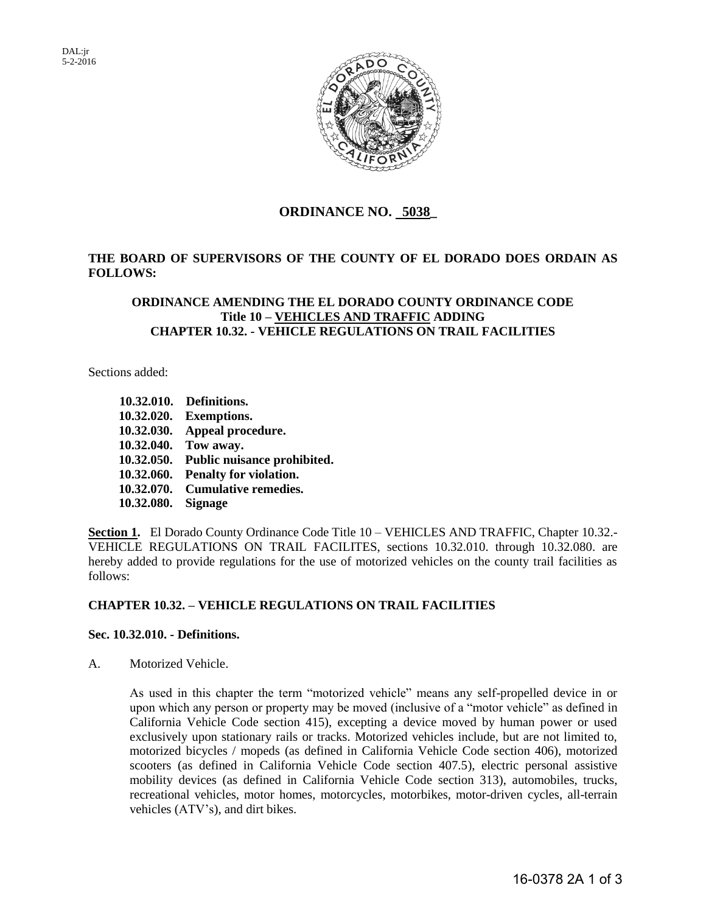DAL:jr 5-2-2016



# **ORDINANCE NO. 5038\_**

## **THE BOARD OF SUPERVISORS OF THE COUNTY OF EL DORADO DOES ORDAIN AS FOLLOWS:**

## **ORDINANCE AMENDING THE EL DORADO COUNTY ORDINANCE CODE Title 10 – VEHICLES AND TRAFFIC ADDING CHAPTER 10.32. - VEHICLE REGULATIONS ON TRAIL FACILITIES**

Sections added:

|                    | 10.32.010. Definitions.                |
|--------------------|----------------------------------------|
|                    | 10.32.020. Exemptions.                 |
|                    | 10.32.030. Appeal procedure.           |
|                    | 10.32.040. Tow away.                   |
|                    | 10.32.050. Public nuisance prohibited. |
|                    | 10.32.060. Penalty for violation.      |
|                    | 10.32.070. Cumulative remedies.        |
| 10.32.080. Signage |                                        |

Section 1. El Dorado County Ordinance Code Title 10 - VEHICLES AND TRAFFIC, Chapter 10.32.-VEHICLE REGULATIONS ON TRAIL FACILITES, sections 10.32.010. through 10.32.080. are hereby added to provide regulations for the use of motorized vehicles on the county trail facilities as follows:

## **CHAPTER 10.32. – VEHICLE REGULATIONS ON TRAIL FACILITIES**

## **Sec. 10.32.010. - Definitions.**

A. Motorized Vehicle.

As used in this chapter the term "motorized vehicle" means any self-propelled device in or upon which any person or property may be moved (inclusive of a "motor vehicle" as defined in California Vehicle Code section 415), excepting a device moved by human power or used exclusively upon stationary rails or tracks. Motorized vehicles include, but are not limited to, motorized bicycles / mopeds (as defined in California Vehicle Code section 406), motorized scooters (as defined in California Vehicle Code section 407.5), electric personal assistive mobility devices (as defined in California Vehicle Code section 313), automobiles, trucks, recreational vehicles, motor homes, motorcycles, motorbikes, motor-driven cycles, all-terrain vehicles (ATV's), and dirt bikes.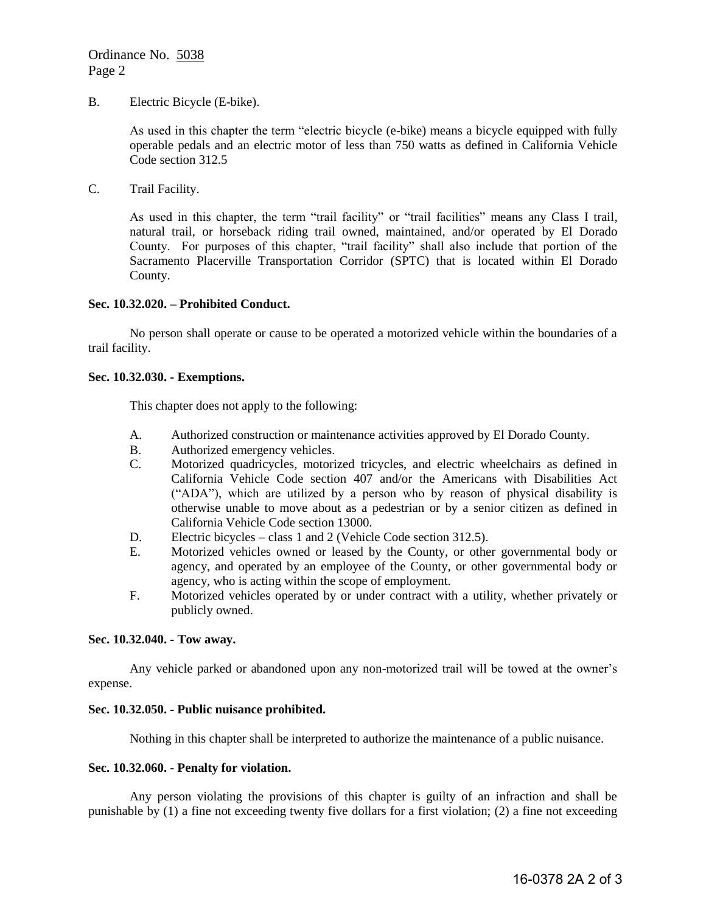B. Electric Bicycle (E-bike).

As used in this chapter the term "electric bicycle (e-bike) means a bicycle equipped with fully operable pedals and an electric motor of less than 750 watts as defined in California Vehicle Code section 312.5

C. Trail Facility.

As used in this chapter, the term "trail facility" or "trail facilities" means any Class I trail, natural trail, or horseback riding trail owned, maintained, and/or operated by El Dorado County. For purposes of this chapter, "trail facility" shall also include that portion of the Sacramento Placerville Transportation Corridor (SPTC) that is located within El Dorado County.

#### **Sec. 10.32.020. – Prohibited Conduct.**

 No person shall operate or cause to be operated a motorized vehicle within the boundaries of a trail facility.

#### **Sec. 10.32.030. - Exemptions.**

This chapter does not apply to the following:

- A. Authorized construction or maintenance activities approved by El Dorado County.
- B. Authorized emergency vehicles.
- C. Motorized quadricycles, motorized tricycles, and electric wheelchairs as defined in California Vehicle Code section 407 and/or the Americans with Disabilities Act ("ADA"), which are utilized by a person who by reason of physical disability is otherwise unable to move about as a pedestrian or by a senior citizen as defined in California Vehicle Code section 13000.
- D. Electric bicycles class 1 and 2 (Vehicle Code section 312.5).
- E. Motorized vehicles owned or leased by the County, or other governmental body or agency, and operated by an employee of the County, or other governmental body or agency, who is acting within the scope of employment.
- F. Motorized vehicles operated by or under contract with a utility, whether privately or publicly owned.

#### **Sec. 10.32.040. - Tow away.**

 Any vehicle parked or abandoned upon any non-motorized trail will be towed at the owner's expense.

## **Sec. 10.32.050. - Public nuisance prohibited.**

Nothing in this chapter shall be interpreted to authorize the maintenance of a public nuisance.

#### **Sec. 10.32.060. - Penalty for violation.**

 Any person violating the provisions of this chapter is guilty of an infraction and shall be punishable by (1) a fine not exceeding twenty five dollars for a first violation; (2) a fine not exceeding